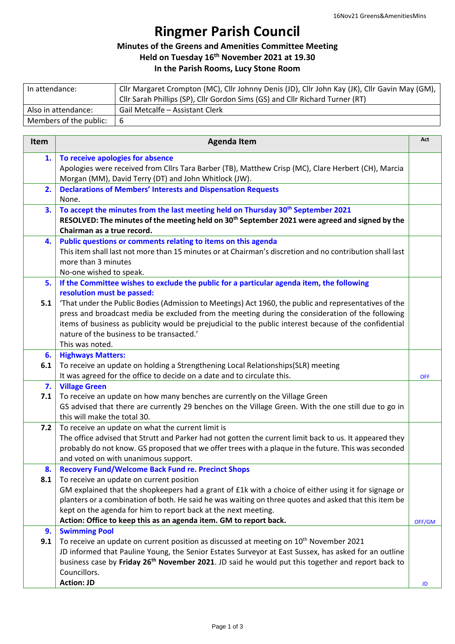## **Ringmer Parish Council**

## **Minutes of the Greens and Amenities Committee Meeting**

**Held on Tuesday 16th November 2021 at 19.30**

## **In the Parish Rooms, Lucy Stone Room**

| In attendance:         | Cllr Margaret Crompton (MC), Cllr Johnny Denis (JD), Cllr John Kay (JK), Cllr Gavin May (GM), |
|------------------------|-----------------------------------------------------------------------------------------------|
|                        | Cllr Sarah Phillips (SP), Cllr Gordon Sims (GS) and Cllr Richard Turner (RT)                  |
| Also in attendance:    | Gail Metcalfe - Assistant Clerk                                                               |
| Members of the public: | -6                                                                                            |

| Item      | <b>Agenda Item</b>                                                                                                                                                                                                                                                                                                                                                                                                                                            | Act        |
|-----------|---------------------------------------------------------------------------------------------------------------------------------------------------------------------------------------------------------------------------------------------------------------------------------------------------------------------------------------------------------------------------------------------------------------------------------------------------------------|------------|
| 1.        | To receive apologies for absence<br>Apologies were received from Cllrs Tara Barber (TB), Matthew Crisp (MC), Clare Herbert (CH), Marcia<br>Morgan (MM), David Terry (DT) and John Whitlock (JW).                                                                                                                                                                                                                                                              |            |
| 2.        | <b>Declarations of Members' Interests and Dispensation Requests</b><br>None.                                                                                                                                                                                                                                                                                                                                                                                  |            |
| 3.        | To accept the minutes from the last meeting held on Thursday 30 <sup>th</sup> September 2021<br>RESOLVED: The minutes of the meeting held on 30 <sup>th</sup> September 2021 were agreed and signed by the<br>Chairman as a true record.                                                                                                                                                                                                                      |            |
| 4.        | Public questions or comments relating to items on this agenda<br>This item shall last not more than 15 minutes or at Chairman's discretion and no contribution shall last<br>more than 3 minutes<br>No-one wished to speak.                                                                                                                                                                                                                                   |            |
| 5.        | If the Committee wishes to exclude the public for a particular agenda item, the following<br>resolution must be passed:                                                                                                                                                                                                                                                                                                                                       |            |
| 5.1       | 'That under the Public Bodies (Admission to Meetings) Act 1960, the public and representatives of the<br>press and broadcast media be excluded from the meeting during the consideration of the following<br>items of business as publicity would be prejudicial to the public interest because of the confidential<br>nature of the business to be transacted.'<br>This was noted.                                                                           |            |
| 6.        | <b>Highways Matters:</b>                                                                                                                                                                                                                                                                                                                                                                                                                                      |            |
| 6.1       | To receive an update on holding a Strengthening Local Relationships(SLR) meeting<br>It was agreed for the office to decide on a date and to circulate this.                                                                                                                                                                                                                                                                                                   | <b>OFF</b> |
| 7.<br>7.1 | <b>Village Green</b><br>To receive an update on how many benches are currently on the Village Green<br>GS advised that there are currently 29 benches on the Village Green. With the one still due to go in<br>this will make the total 30.                                                                                                                                                                                                                   |            |
| 7.2       | To receive an update on what the current limit is<br>The office advised that Strutt and Parker had not gotten the current limit back to us. It appeared they<br>probably do not know. GS proposed that we offer trees with a plaque in the future. This was seconded<br>and voted on with unanimous support.                                                                                                                                                  |            |
| 8.<br>8.1 | <b>Recovery Fund/Welcome Back Fund re. Precinct Shops</b><br>To receive an update on current position<br>GM explained that the shopkeepers had a grant of £1k with a choice of either using it for signage or<br>planters or a combination of both. He said he was waiting on three quotes and asked that this item be<br>kept on the agenda for him to report back at the next meeting.<br>Action: Office to keep this as an agenda item. GM to report back. | OFF/GM     |
| 9.<br>9.1 | <b>Swimming Pool</b><br>To receive an update on current position as discussed at meeting on 10 <sup>th</sup> November 2021                                                                                                                                                                                                                                                                                                                                    |            |
|           | JD informed that Pauline Young, the Senior Estates Surveyor at East Sussex, has asked for an outline<br>business case by Friday 26 <sup>th</sup> November 2021. JD said he would put this together and report back to<br>Councillors.<br><b>Action: JD</b>                                                                                                                                                                                                    | JD         |
|           |                                                                                                                                                                                                                                                                                                                                                                                                                                                               |            |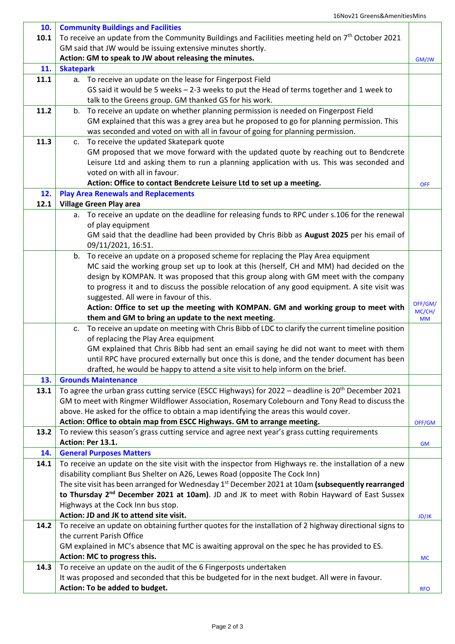٦

| 10.  | <b>Community Buildings and Facilities</b>                                                                      |              |
|------|----------------------------------------------------------------------------------------------------------------|--------------|
| 10.1 | To receive an update from the Community Buildings and Facilities meeting held on 7 <sup>th</sup> October 2021  |              |
|      | GM said that JW would be issuing extensive minutes shortly.                                                    |              |
|      |                                                                                                                |              |
|      | Action: GM to speak to JW about releasing the minutes.                                                         | GM/JW        |
| 11.  | <b>Skatepark</b>                                                                                               |              |
| 11.1 | a. To receive an update on the lease for Fingerpost Field                                                      |              |
|      | GS said it would be 5 weeks - 2-3 weeks to put the Head of terms together and 1 week to                        |              |
|      | talk to the Greens group. GM thanked GS for his work.                                                          |              |
| 11.2 | b. To receive an update on whether planning permission is needed on Fingerpost Field                           |              |
|      | GM explained that this was a grey area but he proposed to go for planning permission. This                     |              |
|      | was seconded and voted on with all in favour of going for planning permission.                                 |              |
| 11.3 | c. To receive the updated Skatepark quote                                                                      |              |
|      | GM proposed that we move forward with the updated quote by reaching out to Bendcrete                           |              |
|      | Leisure Ltd and asking them to run a planning application with us. This was seconded and                       |              |
|      | voted on with all in favour.                                                                                   |              |
|      | Action: Office to contact Bendcrete Leisure Ltd to set up a meeting.                                           | <b>OFF</b>   |
| 12.  | <b>Play Area Renewals and Replacements</b>                                                                     |              |
| 12.1 | <b>Village Green Play area</b>                                                                                 |              |
|      | a. To receive an update on the deadline for releasing funds to RPC under s.106 for the renewal                 |              |
|      | of play equipment                                                                                              |              |
|      | GM said that the deadline had been provided by Chris Bibb as August 2025 per his email of                      |              |
|      | 09/11/2021, 16:51.                                                                                             |              |
|      | b. To receive an update on a proposed scheme for replacing the Play Area equipment                             |              |
|      | MC said the working group set up to look at this (herself, CH and MM) had decided on the                       |              |
|      | design by KOMPAN. It was proposed that this group along with GM meet with the company                          |              |
|      | to progress it and to discuss the possible relocation of any good equipment. A site visit was                  |              |
|      |                                                                                                                |              |
|      | suggested. All were in favour of this.                                                                         | OFF/GM/      |
|      | Action: Office to set up the meeting with KOMPAN. GM and working group to meet with                            | MC/CH/       |
|      | them and GM to bring an update to the next meeting.                                                            | <b>MM</b>    |
|      | To receive an update on meeting with Chris Bibb of LDC to clarify the current timeline position<br>c.          |              |
|      | of replacing the Play Area equipment                                                                           |              |
|      | GM explained that Chris Bibb had sent an email saying he did not want to meet with them                        |              |
|      | until RPC have procured externally but once this is done, and the tender document has been                     |              |
|      | drafted, he would be happy to attend a site visit to help inform on the brief.                                 |              |
| 13.  | <b>Grounds Maintenance</b>                                                                                     |              |
| 13.1 | To agree the urban grass cutting service (ESCC Highways) for 2022 - deadline is 20 <sup>th</sup> December 2021 |              |
|      | GM to meet with Ringmer Wildflower Association, Rosemary Colebourn and Tony Read to discuss the                |              |
|      | above. He asked for the office to obtain a map identifying the areas this would cover.                         |              |
|      | Action: Office to obtain map from ESCC Highways. GM to arrange meeting.                                        | OFF/GM       |
| 13.2 | To review this season's grass cutting service and agree next year's grass cutting requirements                 |              |
|      | Action: Per 13.1.                                                                                              | GM           |
| 14.  | <b>General Purposes Matters</b>                                                                                |              |
| 14.1 | To receive an update on the site visit with the inspector from Highways re. the installation of a new          |              |
|      | disability compliant Bus Shelter on A26, Lewes Road (opposite The Cock Inn)                                    |              |
|      | The site visit has been arranged for Wednesday 1 <sup>st</sup> December 2021 at 10am (subsequently rearranged  |              |
|      | to Thursday 2 <sup>nd</sup> December 2021 at 10am). JD and JK to meet with Robin Hayward of East Sussex        |              |
|      | Highways at the Cock Inn bus stop.                                                                             |              |
|      | Action: JD and JK to attend site visit.                                                                        | <b>JD/JK</b> |
| 14.2 | To receive an update on obtaining further quotes for the installation of 2 highway directional signs to        |              |
|      | the current Parish Office                                                                                      |              |
|      | GM explained in MC's absence that MC is awaiting approval on the spec he has provided to ES.                   |              |
|      | Action: MC to progress this.                                                                                   | <b>MC</b>    |
| 14.3 | To receive an update on the audit of the 6 Fingerposts undertaken                                              |              |
|      | It was proposed and seconded that this be budgeted for in the next budget. All were in favour.                 |              |
|      | Action: To be added to budget.                                                                                 | <b>RFO</b>   |
|      |                                                                                                                |              |